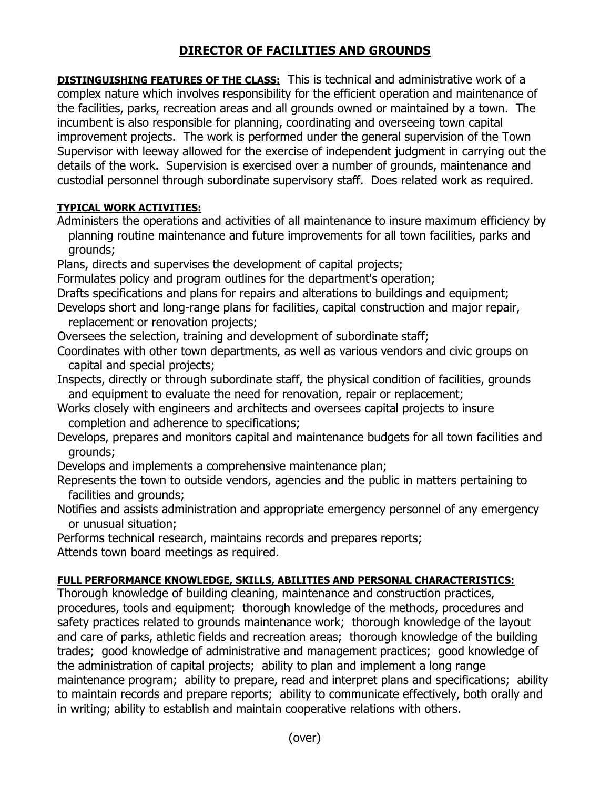## **DIRECTOR OF FACILITIES AND GROUNDS**

**DISTINGUISHING FEATURES OF THE CLASS:** This is technical and administrative work of a complex nature which involves responsibility for the efficient operation and maintenance of the facilities, parks, recreation areas and all grounds owned or maintained by a town. The incumbent is also responsible for planning, coordinating and overseeing town capital improvement projects. The work is performed under the general supervision of the Town Supervisor with leeway allowed for the exercise of independent judgment in carrying out the details of the work. Supervision is exercised over a number of grounds, maintenance and custodial personnel through subordinate supervisory staff. Does related work as required.

## **TYPICAL WORK ACTIVITIES:**

Administers the operations and activities of all maintenance to insure maximum efficiency by planning routine maintenance and future improvements for all town facilities, parks and grounds;

Plans, directs and supervises the development of capital projects;

Formulates policy and program outlines for the department's operation;

Drafts specifications and plans for repairs and alterations to buildings and equipment;

Develops short and long-range plans for facilities, capital construction and major repair, replacement or renovation projects;

Oversees the selection, training and development of subordinate staff;

Coordinates with other town departments, as well as various vendors and civic groups on capital and special projects;

Inspects, directly or through subordinate staff, the physical condition of facilities, grounds and equipment to evaluate the need for renovation, repair or replacement;

Works closely with engineers and architects and oversees capital projects to insure completion and adherence to specifications;

Develops, prepares and monitors capital and maintenance budgets for all town facilities and grounds;

Develops and implements a comprehensive maintenance plan;

Represents the town to outside vendors, agencies and the public in matters pertaining to facilities and grounds;

Notifies and assists administration and appropriate emergency personnel of any emergency or unusual situation;

Performs technical research, maintains records and prepares reports; Attends town board meetings as required.

## **FULL PERFORMANCE KNOWLEDGE, SKILLS, ABILITIES AND PERSONAL CHARACTERISTICS:**

Thorough knowledge of building cleaning, maintenance and construction practices, procedures, tools and equipment; thorough knowledge of the methods, procedures and safety practices related to grounds maintenance work; thorough knowledge of the layout and care of parks, athletic fields and recreation areas; thorough knowledge of the building trades; good knowledge of administrative and management practices; good knowledge of the administration of capital projects; ability to plan and implement a long range maintenance program; ability to prepare, read and interpret plans and specifications; ability to maintain records and prepare reports; ability to communicate effectively, both orally and in writing; ability to establish and maintain cooperative relations with others.